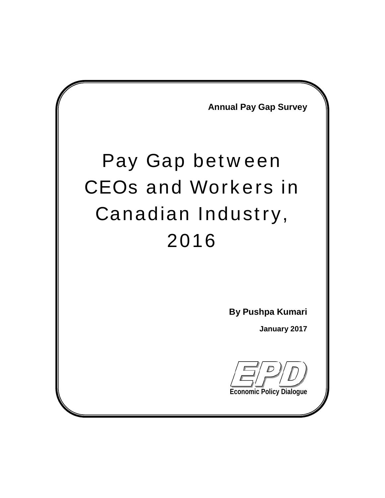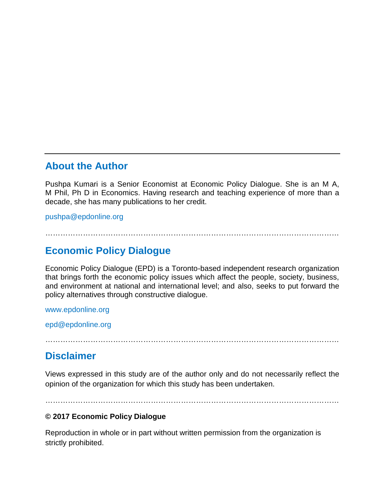### **About the Author**

Pushpa Kumari is a Senior Economist at Economic Policy Dialogue. She is an M A, M Phil, Ph D in Economics. Having research and teaching experience of more than a decade, she has many publications to her credit.

[pushpa@epdonline.org](mailto:pushpa@epdonline.org)

………………………………………………………………………………………………………

### **Economic Policy Dialogue**

Economic Policy Dialogue (EPD) is a Toronto-based independent research organization that brings forth the economic policy issues which affect the people, society, business, and environment at national and international level; and also, seeks to put forward the policy alternatives through constructive dialogue.

<www.epdonline.org>

[epd@epdonline.org](mailto:epd@epdonline.org)

………………………………………………………………………………………………………

### **Disclaimer**

Views expressed in this study are of the author only and do not necessarily reflect the opinion of the organization for which this study has been undertaken.

………………………………………………………………………………………………………

#### **© 2017 Economic Policy Dialogue**

Reproduction in whole or in part without written permission from the organization is strictly prohibited.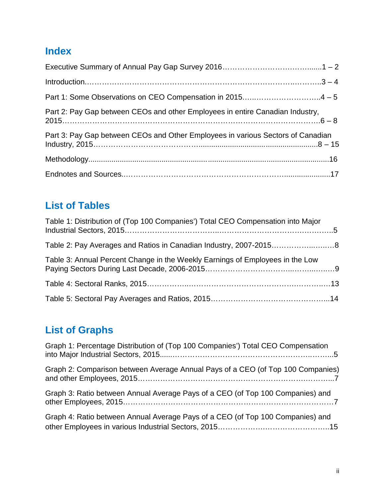## **Index**

| Part 2: Pay Gap between CEOs and other Employees in entire Canadian Industry,   |  |
|---------------------------------------------------------------------------------|--|
| Part 3: Pay Gap between CEOs and Other Employees in various Sectors of Canadian |  |
|                                                                                 |  |
|                                                                                 |  |

## **List of Tables**

| Table 1: Distribution of (Top 100 Companies') Total CEO Compensation into Major |  |
|---------------------------------------------------------------------------------|--|
|                                                                                 |  |
| Table 3: Annual Percent Change in the Weekly Earnings of Employees in the Low   |  |
|                                                                                 |  |
|                                                                                 |  |

## **List of Graphs**

| Graph 1: Percentage Distribution of (Top 100 Companies') Total CEO Compensation |  |
|---------------------------------------------------------------------------------|--|
| Graph 2: Comparison between Average Annual Pays of a CEO (of Top 100 Companies) |  |
| Graph 3: Ratio between Annual Average Pays of a CEO (of Top 100 Companies) and  |  |
| Graph 4: Ratio between Annual Average Pays of a CEO (of Top 100 Companies) and  |  |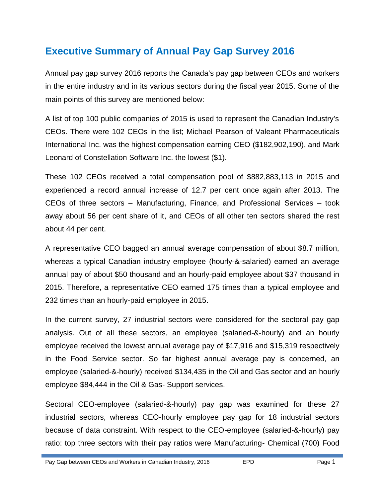## **Executive Summary of Annual Pay Gap Survey 2016**

Annual pay gap survey 2016 reports the Canada's pay gap between CEOs and workers in the entire industry and in its various sectors during the fiscal year 2015. Some of the main points of this survey are mentioned below:

A list of top 100 public companies of 2015 is used to represent the Canadian Industry's CEOs. There were 102 CEOs in the list; Michael Pearson of Valeant Pharmaceuticals International Inc. was the highest compensation earning CEO (\$182,902,190), and Mark Leonard of Constellation Software Inc. the lowest (\$1).

These 102 CEOs received a total compensation pool of \$882,883,113 in 2015 and experienced a record annual increase of 12.7 per cent once again after 2013. The CEOs of three sectors – Manufacturing, Finance, and Professional Services – took away about 56 per cent share of it, and CEOs of all other ten sectors shared the rest about 44 per cent.

A representative CEO bagged an annual average compensation of about \$8.7 million, whereas a typical Canadian industry employee (hourly-&-salaried) earned an average annual pay of about \$50 thousand and an hourly-paid employee about \$37 thousand in 2015. Therefore, a representative CEO earned 175 times than a typical employee and 232 times than an hourly-paid employee in 2015.

In the current survey, 27 industrial sectors were considered for the sectoral pay gap analysis. Out of all these sectors, an employee (salaried-&-hourly) and an hourly employee received the lowest annual average pay of \$17,916 and \$15,319 respectively in the Food Service sector. So far highest annual average pay is concerned, an employee (salaried-&-hourly) received \$134,435 in the Oil and Gas sector and an hourly employee \$84,444 in the Oil & Gas- Support services.

Sectoral CEO-employee (salaried-&-hourly) pay gap was examined for these 27 industrial sectors, whereas CEO-hourly employee pay gap for 18 industrial sectors because of data constraint. With respect to the CEO-employee (salaried-&-hourly) pay ratio: top three sectors with their pay ratios were Manufacturing- Chemical (700) Food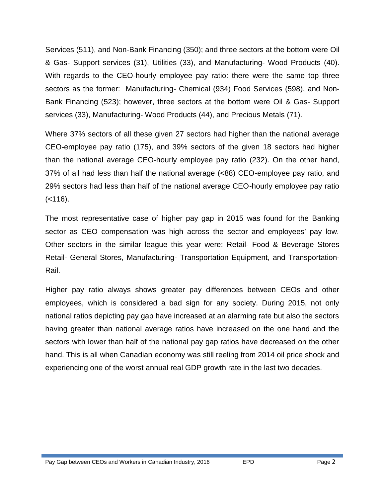Services (511), and Non-Bank Financing (350); and three sectors at the bottom were Oil & Gas- Support services (31), Utilities (33), and Manufacturing- Wood Products (40). With regards to the CEO-hourly employee pay ratio: there were the same top three sectors as the former: Manufacturing- Chemical (934) Food Services (598), and Non- Bank Financing (523); however, three sectors at the bottom were Oil & Gas- Support services (33), Manufacturing- Wood Products (44), and Precious Metals (71).

Where 37% sectors of all these given 27 sectors had higher than the national average CEO-employee pay ratio (175), and 39% sectors of the given 18 sectors had higher than the national average CEO-hourly employee pay ratio (232). On the other hand, 37% of all had less than half the national average (<88) CEO-employee pay ratio, and 29% sectors had less than half of the national average CEO-hourly employee pay ratio  $(-116)$ .

The most representative case of higher pay gap in 2015 was found for the Banking sector as CEO compensation was high across the sector and employees' pay low. Other sectors in the similar league this year were: Retail- Food & Beverage Stores Retail- General Stores, Manufacturing- Transportation Equipment, and Transportation- Rail.

Higher pay ratio always shows greater pay differences between CEOs and other employees, which is considered a bad sign for any society. During 2015, not only national ratios depicting pay gap have increased at an alarming rate but also the sectors having greater than national average ratios have increased on the one hand and the sectors with lower than half of the national pay gap ratios have decreased on the other hand. This is all when Canadian economy was still reeling from 2014 oil price shock and experiencing one of the worst annual real GDP growth rate in the last two decades.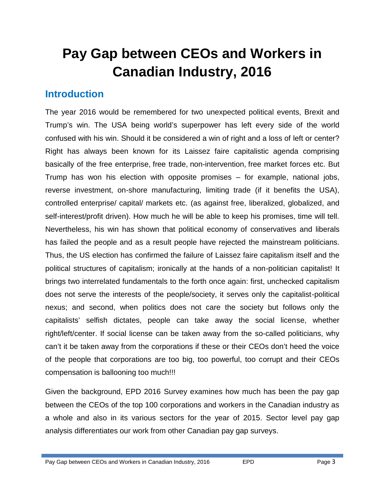# **Pay Gap between CEOs and Workers in Canadian Industry, 2016**

## **Introduction**

The year 2016 would be remembered for two unexpected political events, Brexit and Trump's win. The USA being world's superpower has left every side of the world confused with his win. Should it be considered a win of right and a loss of left or center? Right has always been known for its Laissez faire capitalistic agenda comprising basically of the free enterprise, free trade, non-intervention, free market forces etc. But Trump has won his election with opposite promises – for example, national jobs, reverse investment, on-shore manufacturing, limiting trade (if it benefits the USA), controlled enterprise/ capital/ markets etc. (as against free, liberalized, globalized, and self-interest/profit driven). How much he will be able to keep his promises, time will tell. Nevertheless, his win has shown that political economy of conservatives and liberals has failed the people and as a result people have rejected the mainstream politicians. Thus, the US election has confirmed the failure of Laissez faire capitalism itself and the political structures of capitalism; ironically at the hands of a non-politician capitalist! It brings two interrelated fundamentals to the forth once again: first, unchecked capitalism does not serve the interests of the people/society, it serves only the capitalist-political nexus; and second, when politics does not care the society but follows only the capitalists' selfish dictates, people can take away the social license, whether right/left/center. If social license can be taken away from the so-called politicians, why can't it be taken away from the corporations if these or their CEOs don't heed the voice of the people that corporations are too big, too powerful, too corrupt and their CEOs compensation is ballooning too much!!!

Given the background, EPD 2016 Survey examines how much has been the pay gap between the CEOs of the top 100 corporations and workers in the Canadian industry as a whole and also in its various sectors for the year of 2015. Sector level pay gap analysis differentiates our work from other Canadian pay gap surveys.

Pay Gap between CEOs and Workers in Canadian Industry, 2016 EPD EPD Page 3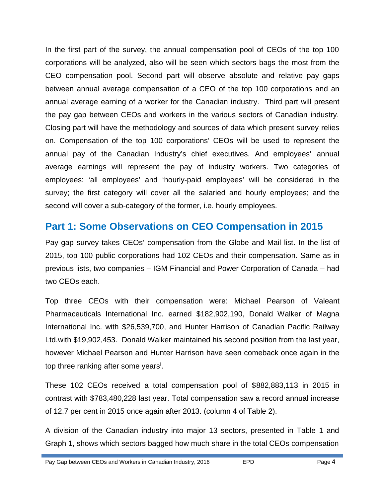In the first part of the survey, the annual compensation pool of CEOs of the top 100 corporations will be analyzed, also will be seen which sectors bags the most from the CEO compensation pool. Second part will observe absolute and relative pay gaps between annual average compensation of a CEO of the top 100 corporations and an annual average earning of a worker for the Canadian industry. Third part will present the pay gap between CEOs and workers in the various sectors of Canadian industry. Closing part will have the methodology and sources of data which present survey relies on. Compensation of the top 100 corporations' CEOs will be used to represent the annual pay of the Canadian Industry's chief executives. And employees' annual average earnings will represent the pay of industry workers. Two categories of employees: 'all employees' and 'hourly-paid employees' will be considered in the survey; the first category will cover all the salaried and hourly employees; and the second will cover a sub-category of the former, i.e. hourly employees.

### **Part 1: Some Observations on CEO Compensation in 2015**

Pay gap survey takes CEOs' compensation from the Globe and Mail list. In the list of 2015, top 100 public corporations had 102 CEOs and their compensation. Same as in previous lists, two companies – IGM Financial and Power Corporation of Canada – had two CEOs each.

Top three CEOs with their compensation were: Michael Pearson of Valeant Pharmaceuticals International Inc. earned \$182,902,190, Donald Walker of Magna International Inc. with \$26,539,700, and Hunter Harrison of Canadian Pacific Railway Ltd.with \$19,902,453. Donald Walker maintained his second position from the last year, however Michael Pearson and Hunter Harrison have seen comeback once again in the top three ranking after some years<sup>i</sup>.

These 102 CEOs received a total compensation pool of \$882,883,113 in 2015 in contrast with \$783,480,228 last year. Total compensation saw a record annual increase of 12.7 per cent in 2015 once again after 2013. (column 4 of Table 2).

A division of the Canadian industry into major 13 sectors, presented in Table 1 and Graph 1, shows which sectors bagged how much share in the total CEOs compensation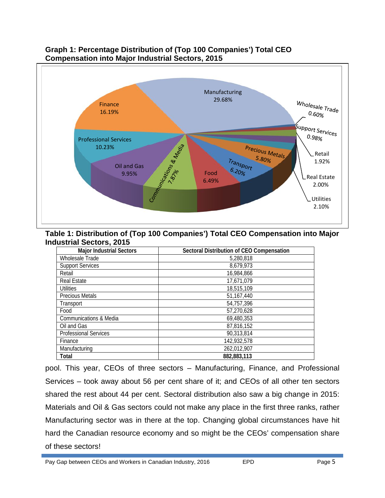

#### **Graph 1: Percentage Distribution of (Top 100 Companies') Total CEO Compensation into Major Industrial Sectors, 2015**

#### **Table 1: Distribution of (Top 100 Companies') Total CEO Compensation into Major Industrial Sectors, 2015**

| <b>Major Industrial Sectors</b> | Sectoral Distribution of CEO Compensation |
|---------------------------------|-------------------------------------------|
| <b>Wholesale Trade</b>          | 5,280,818                                 |
| <b>Support Services</b>         | 8,679,973                                 |
| Retail                          | 16,984,866                                |
| <b>Real Estate</b>              | 17,671,079                                |
| <b>Utilities</b>                | 18,515,109                                |
| <b>Precious Metals</b>          | 51,167,440                                |
| Transport                       | 54,757,396                                |
| Food                            | 57,270,628                                |
| Communications & Media          | 69,480,353                                |
| Oil and Gas                     | 87,816,152                                |
| <b>Professional Services</b>    | 90,313,814                                |
| Finance                         | 142,932,578                               |
| Manufacturing                   | 262,012,907                               |
| <b>Total</b>                    | 882, 883, 113                             |

pool. This year, CEOs of three sectors – Manufacturing, Finance, and Professional Services – took away about 56 per cent share of it; and CEOs of all other ten sectors shared the rest about 44 per cent. Sectoral distribution also saw a big change in 2015: Materials and Oil & Gas sectors could not make any place in the first three ranks, rather Manufacturing sector was in there at the top. Changing global circumstances have hit hard the Canadian resource economy and so might be the CEOs' compensation share of these sectors!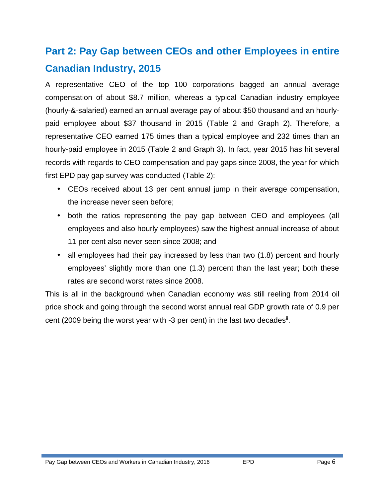## **Part 2: Pay Gap between CEOs and other Employees in entire Canadian Industry, 2015**

A representative CEO of the top 100 corporations bagged an annual average compensation of about \$8.7 million, whereas a typical Canadian industry employee (hourly-&-salaried) earned an annual average pay of about \$50 thousand and an hourly paid employee about \$37 thousand in 2015 (Table 2 and Graph 2). Therefore, a representative CEO earned 175 times than a typical employee and 232 times than an hourly-paid employee in 2015 (Table 2 and Graph 3). In fact, year 2015 has hit several records with regards to CEO compensation and pay gaps since 2008, the year for which first EPD pay gap survey was conducted (Table 2):

- CEOs received about 13 per cent annual jump in their average compensation, the increase never seen before;
- both the ratios representing the pay gap between CEO and employees (all employees and also hourly employees) saw the highest annual increase of about 11 per cent also never seen since 2008; and
- all employees had their pay increased by less than two (1.8) percent and hourly employees' slightly more than one (1.3) percent than the last year; both these rates are second worst rates since 2008.

This is all in the background when Canadian economy was still reeling from 2014 oil price shock and going through the second worst annual real GDP growth rate of 0.9 per cent (2009 being the worst year with  $-3$  per cent) in the last two decades<sup>ii</sup>.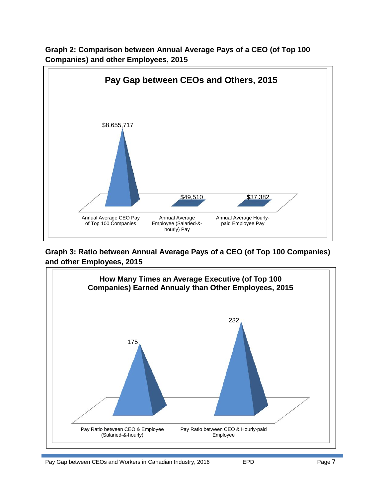

**Graph 2: Comparison between Annual Average Pays of a CEO (of Top 100 Companies) and other Employees, 2015**

**Graph 3: Ratio between Annual Average Pays of a CEO (of Top 100 Companies) and other Employees, 2015**

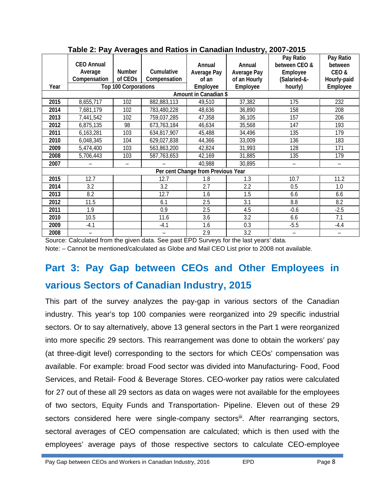|      | <b>CEO Annual</b><br>Average<br>Compensation | <b>Number</b><br>of CEO <sub>s</sub> | <b>Cumulative</b><br>Compensation | <b>Annual</b><br><b>Average Pay</b><br>of an | <b>Annual</b><br><b>Average Pay</b><br>of an Hourly | Pay Ratio<br>between CEO &<br><b>Employee</b><br>(Salaried-&- | Pay Ratio<br>between<br>CEO&<br>Hourly-paid |
|------|----------------------------------------------|--------------------------------------|-----------------------------------|----------------------------------------------|-----------------------------------------------------|---------------------------------------------------------------|---------------------------------------------|
| Year |                                              | <b>Top 100 Corporations</b>          |                                   | <b>Employee</b>                              | <b>Employee</b>                                     | hourly)                                                       | <b>Employee</b>                             |
|      |                                              |                                      |                                   | Amount in Canadian \$                        |                                                     |                                                               |                                             |
| 2015 | 8,655,717                                    | 102                                  | 882,883,113                       | 49,510                                       | 37,382                                              | 175                                                           | 232                                         |
| 2014 | 7,681,179                                    | 102                                  | 783,480,228                       | 48,636                                       | 36,890                                              | 158                                                           | 208                                         |
| 2013 | 7,441,542                                    | 102                                  | 759,037,285                       | 47,358                                       | 36,105                                              | 157                                                           | 206                                         |
| 2012 | 6,875,135                                    | 98                                   | 673,763,184                       | 46,634                                       | 35,568                                              | 147                                                           | 193                                         |
| 2011 | 6,163,281                                    | 103                                  | 634,817,907                       | 45,488                                       | 34,496                                              | 135                                                           | 179                                         |
| 2010 | 6,048,345                                    | 104                                  | 629,027,838                       | 44,366                                       | 33,009                                              | 136                                                           | 183                                         |
| 2009 | 5,474,400                                    | 103                                  | 563,863,200                       | 42,824                                       | 31,993                                              | 128                                                           | 171                                         |
| 2008 | 5,706,443                                    | 103                                  | 587,763,653                       | 42,169                                       | 31,885                                              | 135                                                           | 179                                         |
| 2007 |                                              |                                      |                                   | 40,988                                       | 30,895                                              | —                                                             | $\overline{\phantom{0}}$                    |
|      |                                              |                                      |                                   | Per cent Change from Previous Year           |                                                     |                                                               |                                             |
| 2015 | 12.7                                         |                                      | 12.7                              | 1.8                                          | 1.3                                                 | 10.7                                                          | 11.2                                        |
| 2014 | 3.2                                          |                                      | 3.2                               | 2.7                                          | 2.2                                                 | 0.5                                                           | 1.0                                         |
| 2013 | 8.2                                          |                                      | 12.7                              | 1.6                                          | 1.5                                                 | 6.6                                                           | 6.6                                         |
| 2012 | 11.5                                         |                                      | 6.1                               | 2.5                                          | 3.1                                                 | 8.8                                                           | 8.2                                         |
| 2011 | 1.9                                          |                                      | 0.9                               | 2.5                                          | 4.5                                                 | $-0.6$                                                        | $-2.5$                                      |
| 2010 | 10.5                                         |                                      | 11.6                              | 3.6                                          | 3.2                                                 | 6.6                                                           | 7.1                                         |
| 2009 | $-4.1$                                       |                                      | $-4.1$                            | 1.6                                          | 0.3                                                 | $-5.5$                                                        | $-4.4$                                      |
| 2008 |                                              |                                      |                                   | 2.9                                          | 3.2                                                 |                                                               |                                             |

#### **Table 2: Pay Averages and Ratios in Canadian Industry, 2007-2015**

Source: Calculated from the given data. See past EPD Surveys for the last years' data.

Note: – Cannot be mentioned/calculated as Globe and Mail CEO List prior to 2008 not available.

## **Part 3: Pay Gap between CEOs and Other Employees in various Sectors of Canadian Industry, 2015**

This part of the survey analyzes the pay-gap in various sectors of the Canadian industry. This year's top 100 companies were reorganized into 29 specific industrial sectors. Or to say alternatively, above 13 general sectors in the Part 1 were reorganized into more specific 29 sectors. This rearrangement was done to obtain the workers' pay (at three-digit level) corresponding to the sectors for which CEOs' compensation was available. For example: broad Food sector was divided into Manufacturing- Food, Food Services, and Retail- Food & Beverage Stores. CEO-worker pay ratios were calculated for 27 out of these all 29 sectors as data on wages were not available for the employees of two sectors, Equity Funds and Transportation- Pipeline. Eleven out of these 29 sectors considered here were single-company sectors<sup>iii</sup>. After rearranging sectors, sectoral averages of CEO compensation are calculated; which is then used with the employees' average pays of those respective sectors to calculate CEO-employee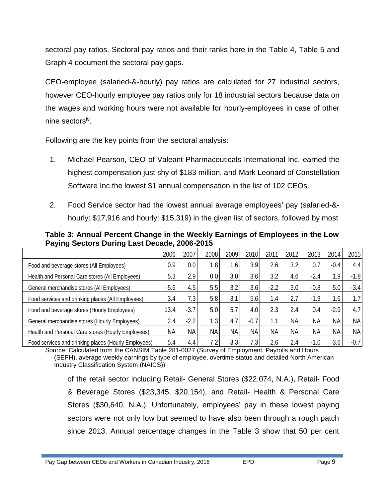sectoral pay ratios. Sectoral pay ratios and their ranks here in the Table 4, Table 5 and Graph 4 document the sectoral pay gaps.

CEO-employee (salaried-&-hourly) pay ratios are calculated for 27 industrial sectors, however CEO-hourly employee pay ratios only for 18 industrial sectors because data on the wages and working hours were not available for hourly-employees in case of other nine sectorsiv .

Following are the key points from the sectoral analysis:

- 1. Michael Pearson, CEO of Valeant Pharmaceuticals International Inc. earned the highest compensation just shy of \$183 million, and Mark Leonard of Constellation Software Inc.the lowest \$1 annual compensation in the list of 102 CEOs.
- 2. Food Service sector had the lowest annual average employees' pay (salaried-& hourly: \$17,916 and hourly: \$15,319) in the given list of sectors, followed by most

|                                                     | 2006      | 2007                | 2008             | 2009             | 2010      | 2011             | 2012      | 2013        | 2014             | 2015      |
|-----------------------------------------------------|-----------|---------------------|------------------|------------------|-----------|------------------|-----------|-------------|------------------|-----------|
| Food and beverage stores (All Employees)            | 0.9       | 0.0                 | 1.8              | 1.6I             | 3.9       | 2.6              | 3.2       | 0.7         | $-0.4$           | 4.4       |
| Health and Personal Care stores (All Employees)     | 5.3       | 2.9                 | 0.0              | 3.0 <sub>l</sub> | 3.6       | 3.2              | 4.6       | $-2.4$      | 1.9              | $-1.8$    |
| General merchandise stores (All Employees)          | $-5.6$    | 4.5                 | 5.5              | 3.2              | 3.6       | $-2.2$           | 3.0       | $-0.8$      | 5.0              | $-3.4$    |
| Food services and drinking places (All Employees)   | 3.4       | 7.3                 | 5.8              | 3.1              | 5.6       | 1.4 <sub>1</sub> | 2.7       | $-1.9$      | 1.6 <sub>1</sub> | 1.7       |
| Food and beverage stores (Hourly Employees)         | 13.4      | $-3.7$              | 5.0              | 5.7              | 4.0       | 2.3              | 2.4       | 0.4         | $-2.9$           | 4.7       |
| General merchandise stores (Hourly Employees)       | 2.4       | $-2.2$              | 1.3 <sub>1</sub> | 4.7              | $-0.7$    | 1.1              | <b>NA</b> | <b>NA</b>   | <b>NA</b>        | <b>NA</b> |
| Health and Personal Care stores (Hourly Employees)  | <b>NA</b> | <b>NA</b>           | <b>NA</b>        | <b>NAI</b>       | <b>NA</b> | <b>NA</b>        | <b>NA</b> | <b>NA</b>   | <b>NA</b>        | <b>NA</b> |
| Eard sensiges and dripling places (Hough Employees) | 51        | $\Lambda$ $\Lambda$ | 72               | 33               | 72        | 26               | 21        | $-1$ $\cap$ | 36               | -0.7      |

**Table 3: Annual Percent Change in the Weekly Earnings of Employees in the Low Paying Sectors During Last Decade, 2006-2015**

And drinking places (Hourly Employees)  $\vert$  5.4 4.4  $\vert$  7.2 3.3 7.3 2.5 2.6 2.4 -1.0 3.6 -0.7 3.6 -0.7 Source: Calculated from the CANSIM Table 281-0027 (Survey of Employment, Payrolls and Hours

(SEPH), average weekly earnings by type of employee, overtime status and detailed North American Industry Classification System (NAICS))

of the retail sector including Retail- General Stores (\$22,074, N.A.), Retail- Food & Beverage Stores (\$23,345, \$20,154), and Retail- Health & Personal Care Stores (\$30,640, N.A.). Unfortunately, employees' pay in these lowest paying sectors were not only low but seemed to have also been through a rough patch since 2013. Annual percentage changes in the Table 3 show that 50 per cent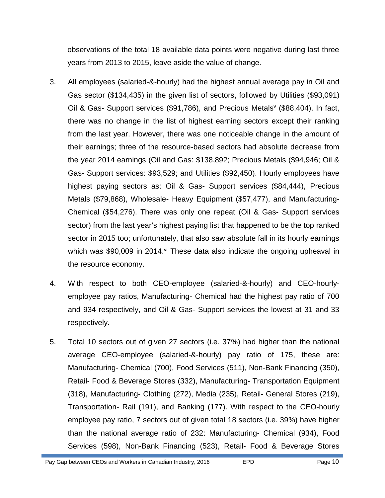observations of the total 18 available data points were negative during last three years from 2013 to 2015, leave aside the value of change.

- 3. All employees (salaried-&-hourly) had the highest annual average pay in Oil and Gas sector (\$134,435) in the given list of sectors, followed by Utilities (\$93,091) Oil & Gas- Support services (\$91,786), and Precious Metals<sup>v</sup> (\$88,404). In fact, there was no change in the list of highest earning sectors except their ranking from the last year. However, there was one noticeable change in the amount of their earnings; three of the resource-based sectors had absolute decrease from the year 2014 earnings (Oil and Gas: \$138,892; Precious Metals (\$94,946; Oil & Gas- Support services: \$93,529; and Utilities (\$92,450). Hourly employees have highest paying sectors as: Oil & Gas- Support services (\$84,444), Precious Metals (\$79,868), Wholesale- Heavy Equipment (\$57,477), and Manufacturing- Chemical (\$54,276). There was only one repeat (Oil & Gas- Support services sector) from the last year's highest paying list that happened to be the top ranked sector in 2015 too; unfortunately, that also saw absolute fall in its hourly earnings which was \$90,009 in 2014.  $\frac{1}{4}$  These data also indicate the ongoing upheaval in the resource economy.
- 4. With respect to both CEO-employee (salaried-&-hourly) and CEO-hourly employee pay ratios, Manufacturing- Chemical had the highest pay ratio of 700 and 934 respectively, and Oil & Gas- Support services the lowest at 31 and 33 respectively.
- 5. Total 10 sectors out of given 27 sectors (i.e. 37%) had higher than the national average CEO-employee (salaried-&-hourly) pay ratio of 175, these are: Manufacturing- Chemical (700), Food Services (511), Non-Bank Financing (350), Retail- Food & Beverage Stores (332), Manufacturing- Transportation Equipment (318), Manufacturing- Clothing (272), Media (235), Retail- General Stores (219), Transportation- Rail (191), and Banking (177). With respect to the CEO-hourly employee pay ratio, 7 sectors out of given total 18 sectors (i.e. 39%) have higher than the national average ratio of 232: Manufacturing- Chemical (934), Food Services (598), Non-Bank Financing (523), Retail- Food & Beverage Stores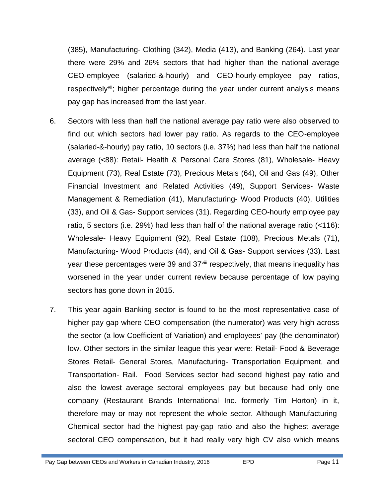(385), Manufacturing- Clothing (342), Media (413), and Banking (264). Last year there were 29% and 26% sectors that had higher than the national average CEO-employee (salaried-&-hourly) and CEO-hourly-employee pay ratios, respectively<sup>vii</sup>; higher percentage during the year under current analysis means pay gap has increased from the last year.

- 6. Sectors with less than half the national average pay ratio were also observed to find out which sectors had lower pay ratio. As regards to the CEO-employee (salaried-&-hourly) pay ratio, 10 sectors (i.e. 37%) had less than half the national average (<88): Retail- Health & Personal Care Stores (81), Wholesale- Heavy Equipment (73), Real Estate (73), Precious Metals (64), Oil and Gas (49), Other Financial Investment and Related Activities (49), Support Services- Waste Management & Remediation (41), Manufacturing- Wood Products (40), Utilities (33), and Oil & Gas- Support services (31). Regarding CEO-hourly employee pay ratio, 5 sectors (i.e. 29%) had less than half of the national average ratio (<116): Wholesale- Heavy Equipment (92), Real Estate (108), Precious Metals (71), Manufacturing- Wood Products (44), and Oil & Gas- Support services (33). Last year these percentages were 39 and 37<sup>viii</sup> respectively, that means inequality has worsened in the year under current review because percentage of low paying sectors has gone down in 2015.
- 7. This year again Banking sector is found to be the most representative case of higher pay gap where CEO compensation (the numerator) was very high across the sector (a low Coefficient of Variation) and employees' pay (the denominator) low. Other sectors in the similar league this year were: Retail- Food & Beverage Stores Retail- General Stores, Manufacturing- Transportation Equipment, and Transportation- Rail. Food Services sector had second highest pay ratio and also the lowest average sectoral employees pay but because had only one company (Restaurant Brands International Inc. formerly Tim Horton) in it, therefore may or may not represent the whole sector. Although Manufacturing- Chemical sector had the highest pay-gap ratio and also the highest average sectoral CEO compensation, but it had really very high CV also which means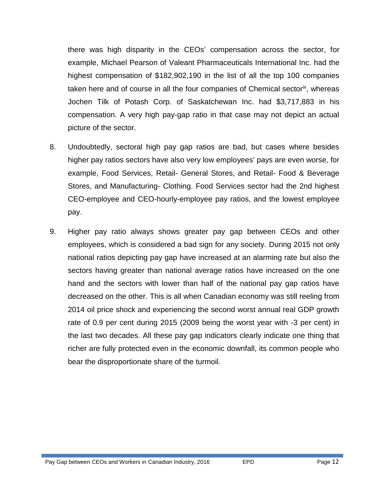there was high disparity in the CEOs' compensation across the sector, for example, Michael Pearson of Valeant Pharmaceuticals International Inc. had the highest compensation of \$182,902,190 in the list of all the top 100 companies taken here and of course in all the four companies of Chemical sectorix, whereas Jochen Tilk of Potash Corp. of Saskatchewan Inc. had \$3,717,883 in his compensation. A very high pay-gap ratio in that case may not depict an actual picture of the sector.

- 8. Undoubtedly, sectoral high pay gap ratios are bad, but cases where besides higher pay ratios sectors have also very low employees' pays are even worse, for example, Food Services, Retail- General Stores, and Retail- Food & Beverage Stores, and Manufacturing- Clothing. Food Services sector had the 2nd highest CEO-employee and CEO-hourly-employee pay ratios, and the lowest employee pay.
- 9. Higher pay ratio always shows greater pay gap between CEOs and other employees, which is considered a bad sign for any society. During 2015 not only national ratios depicting pay gap have increased at an alarming rate but also the sectors having greater than national average ratios have increased on the one hand and the sectors with lower than half of the national pay gap ratios have decreased on the other. This is all when Canadian economy was still reeling from 2014 oil price shock and experiencing the second worst annual real GDP growth rate of 0.9 per cent during 2015 (2009 being the worst year with -3 per cent) in the last two decades. All these pay gap indicators clearly indicate one thing that richer are fully protected even in the economic downfall, its common people who bear the disproportionate share of the turmoil.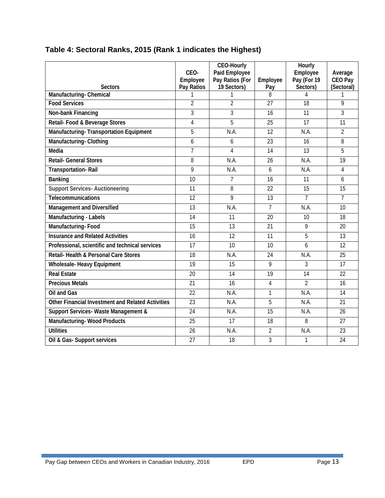|                                                       | CEO-<br><b>Employee</b> | <b>CEO-Hourly</b><br><b>Paid Employee</b><br>Pay Ratios (For | <b>Employee</b> | <b>Hourly</b><br><b>Employee</b><br>Pay (For 19 | Average<br><b>CEO Pay</b> |
|-------------------------------------------------------|-------------------------|--------------------------------------------------------------|-----------------|-------------------------------------------------|---------------------------|
| <b>Sectors</b>                                        | Pay Ratios              | 19 Sectors)<br>1                                             | Pay<br>8        | Sectors)<br>4                                   | (Sectoral)<br>1           |
| <b>Manufacturing-Chemical</b><br><b>Food Services</b> | 1<br>$\overline{2}$     | $\overline{2}$                                               | 27              | 18                                              | 9                         |
| <b>Non-bank Financing</b>                             | 3                       | 3                                                            | 16              | 11                                              | 3                         |
| Retail- Food & Beverage Stores                        | 4                       | 5                                                            | 25              | 17                                              | 11                        |
| Manufacturing-Transportation Equipment                | 5                       | NA                                                           | $\overline{12}$ | N.A.                                            | $\overline{2}$            |
|                                                       | 6                       |                                                              |                 |                                                 | 8                         |
| <b>Manufacturing-Clothing</b>                         |                         | 6                                                            | 23              | 16                                              |                           |
| <b>Media</b>                                          | $\overline{7}$          | 4                                                            | 14              | 13                                              | 5                         |
| <b>Retail- General Stores</b>                         | 8                       | NA                                                           | 26              | N.A.                                            | 19                        |
| <b>Transportation-Rail</b>                            | 9                       | N.A.                                                         | 6               | N.A.                                            | 4                         |
| <b>Banking</b>                                        | 10                      | 7                                                            | 16              | 11                                              | 6                         |
| <b>Support Services-Auctioneering</b>                 | 11                      | 8                                                            | 22              | 15                                              | 15                        |
| <b>Telecommunications</b>                             | 12                      | 9                                                            | 13              | $\overline{7}$                                  | $\overline{7}$            |
| <b>Management and Diversified</b>                     | 13                      | N.A.                                                         | $\overline{7}$  | N.A.                                            | 10                        |
| <b>Manufacturing - Labels</b>                         | 14                      | 11                                                           | 20              | 10                                              | 18                        |
| <b>Manufacturing-Food</b>                             | 15                      | 13                                                           | 21              | 9                                               | 20                        |
| <b>Insurance and Related Activities</b>               | 16                      | 12                                                           | 11              | 5                                               | 13                        |
| Professional, scientific and technical services       | 17                      | 10                                                           | 10              | 6                                               | 12                        |
| Retail-Health & Personal Care Stores                  | 18                      | N.A.                                                         | 24              | N.A.                                            | 25                        |
| <b>Wholesale-Heavy Equipment</b>                      | 19                      | 15                                                           | 9               | 3                                               | 17                        |
| <b>Real Estate</b>                                    | 20                      | 14                                                           | 19              | 14                                              | 22                        |
| <b>Precious Metals</b>                                | 21                      | 16                                                           | $\overline{4}$  | $\overline{2}$                                  | 16                        |
| Oil and Gas                                           | 22                      | NA                                                           | $\mathbf 1$     | N.A.                                            | 14                        |
| Other Financial Investment and Related Activities     | 23                      | N.A.                                                         | 5               | N.A.                                            | 21                        |
| Support Services- Waste Management &                  | 24                      | <b>NA</b>                                                    | 15              | <b>N.A.</b>                                     | 26                        |
| <b>Manufacturing-Wood Products</b>                    | 25                      | 17                                                           | 18              | 8                                               | 27                        |
| <b>Utilities</b>                                      | 26                      | N.A.                                                         | $\overline{2}$  | N.A.                                            | 23                        |
| Oil & Gas-Support services                            | 27                      | 18                                                           | 3               | 1                                               | 24                        |
|                                                       |                         |                                                              |                 |                                                 |                           |

### **Table 4: Sectoral Ranks, 2015 (Rank 1 indicates the Highest)**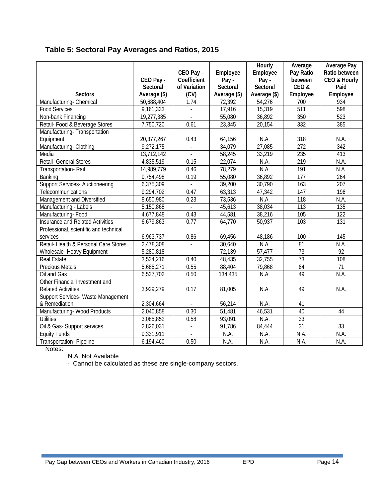| Table 5: Sectoral Pay Averages and Ratios, 2015 |  |
|-------------------------------------------------|--|
|-------------------------------------------------|--|

|                                                             | CEO Pay -<br><b>Sectoral</b> | CEO Pay-<br><b>Coefficient</b><br>of Variation | <b>Employee</b><br>Pay-<br><b>Sectoral</b> | <b>Hourly</b><br>Employee<br>Pay-<br><b>Sectoral</b> | Average<br>Pay Ratio<br>between<br>CEO& | <b>Average Pay</b><br>Ratio between<br>CEO & Hourly<br>Paid |
|-------------------------------------------------------------|------------------------------|------------------------------------------------|--------------------------------------------|------------------------------------------------------|-----------------------------------------|-------------------------------------------------------------|
| <b>Sectors</b>                                              | Average (\$)                 | (CV)                                           | Average (\$)                               | Average (\$)                                         | <b>Employee</b>                         | <b>Employee</b>                                             |
| Manufacturing-Chemical                                      | 50,688,404                   | 1.74                                           | 72,392                                     | 54,276                                               | 700                                     | 934                                                         |
| <b>Food Services</b>                                        | 9,161,333                    |                                                | 17,916                                     | 15,319                                               | $\overline{511}$                        | 598                                                         |
| Non-bank Financing                                          | 19,277,385                   |                                                | 55,080                                     | 36,892                                               | 350                                     | 523                                                         |
| Retail- Food & Beverage Stores                              | 7,750,720                    | 0.61                                           | 23,345                                     | 20,154                                               | 332                                     | 385                                                         |
| Manufacturing-Transportation                                |                              |                                                |                                            |                                                      |                                         |                                                             |
| Equipment                                                   | 20,377,267                   | 0.43                                           | 64,156                                     | <b>N.A.</b>                                          | 318                                     | N.A.                                                        |
| Manufacturing-Clothing                                      | 9,272,175                    | $\mathbf{r}$                                   | 34,079                                     | 27,085                                               | $\overline{272}$                        | $\overline{342}$                                            |
| Media                                                       | 13,712,142                   | ÷                                              | 58,245                                     | 33,219                                               | 235                                     | 413                                                         |
| Retail- General Stores                                      | 4,835,519                    | 0.15                                           | 22,074                                     | N.A.                                                 | 219                                     | N.A.                                                        |
| Transportation-Rail                                         | 14,989,779                   | 0.46                                           | 78,279                                     | <b>NA</b>                                            | 191                                     | N.A.                                                        |
| Banking                                                     | 9,754,498                    | 0.19                                           | 55,080                                     | 36,892                                               | 177                                     | 264                                                         |
| <b>Support Services-Auctioneering</b>                       | 6,375,309                    | $\mathbf{r}$                                   | 39,200                                     | 30,790                                               | 163                                     | 207                                                         |
| Telecommunications                                          | 9,294,702                    | 0.47                                           | 63,313                                     | 47,342                                               | 147                                     | 196                                                         |
| Management and Diversified                                  | 8,650,980                    | 0.23                                           | 73,536                                     | N.A.                                                 | 118                                     | N.A.                                                        |
| Manufacturing - Labels                                      | 5,150,868                    | $\blacksquare$                                 | 45,613                                     | 38,034                                               | 113                                     | 135                                                         |
| Manufacturing-Food                                          | 4,677,848                    | 0.43                                           | 44,581                                     | 38,216                                               | 105                                     | $\overline{122}$                                            |
| <b>Insurance and Related Activities</b>                     | 6,679,863                    | 0.77                                           | 64,770                                     | 50,937                                               | 103                                     | 131                                                         |
| Professional, scientific and technical                      |                              |                                                |                                            |                                                      |                                         |                                                             |
| services                                                    | 6,963,737                    | 0.86                                           | 69,456                                     | 48,186                                               | 100                                     | 145                                                         |
| Retail-Health & Personal Care Stores                        | 2,478,308                    |                                                | 30,640                                     | N.A.                                                 | $\overline{81}$                         | N.A.                                                        |
| <b>Wholesale-Heavy Equipment</b>                            | 5,280,818                    |                                                | 72,139                                     | 57,477                                               | 73                                      | 92                                                          |
| <b>Real Estate</b>                                          | 3,534,216                    | 0.40                                           | 48,435                                     | 32,755                                               | 73                                      | 108                                                         |
| <b>Precious Metals</b>                                      | 5,685,271                    | 0.55                                           | 88,404                                     | 79,868                                               | 64                                      | 71                                                          |
| Oil and Gas                                                 | 6,537,702                    | 0.50                                           | 134,435                                    | <b>N.A.</b>                                          | 49                                      | $\overline{NA}$                                             |
| Other Financial Investment and<br><b>Related Activities</b> | 3,929,279                    | 0.17                                           | 81,005                                     | N.A.                                                 | 49                                      | N.A.                                                        |
| Support Services- Waste Management                          |                              |                                                |                                            |                                                      |                                         |                                                             |
| & Remediation                                               | 2,304,664                    |                                                | 56,214                                     | <b>N.A.</b>                                          | 41                                      |                                                             |
| Manufacturing-Wood Products                                 | 2,040,858                    | 0.30                                           | 51,481                                     | 46,531                                               | 40                                      | 44                                                          |
| <b>Utilities</b>                                            | 3,085,852                    | 0.58                                           | 93,091                                     | $\overline{NA}$                                      | $\overline{33}$                         |                                                             |
| Oil & Gas-Support services                                  | 2,826,031                    |                                                | 91,786                                     | 84,444                                               | $\overline{31}$                         | 33                                                          |
| <b>Equity Funds</b>                                         | 9,331,911                    |                                                | N.A.                                       | N.A.                                                 | N.A.                                    | N.A.                                                        |
| <b>Transportation-Pipeline</b>                              | 6,194,460                    | 0.50                                           | N.A.                                       | N.A.                                                 | N.A.                                    | N.A.                                                        |

Notes:

N.A. Not Available

- Cannot be calculated as these are single-company sectors.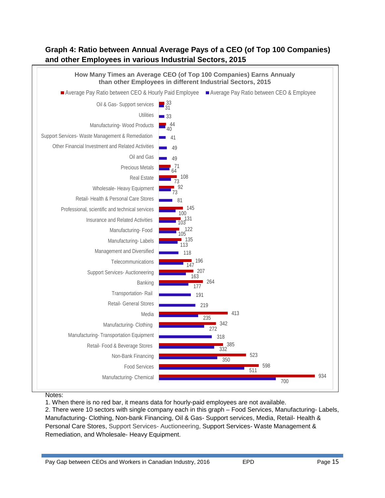#### **Graph 4: Ratio between Annual Average Pays of a CEO (of Top 100 Companies) and other Employees in various Industrial Sectors, 2015**



#### Notes:

1. When there is no red bar, it means data for hourly-paid employees are not available.

2. There were 10 sectors with single company each in this graph – Food Services, Manufacturing- Labels, Manufacturing- Clothing, Non-bank Financing, Oil & Gas- Support services, Media, Retail- Health & Personal Care Stores, Support Services- Auctioneering, Support Services- Waste Management & Remediation, and Wholesale- Heavy Equipment.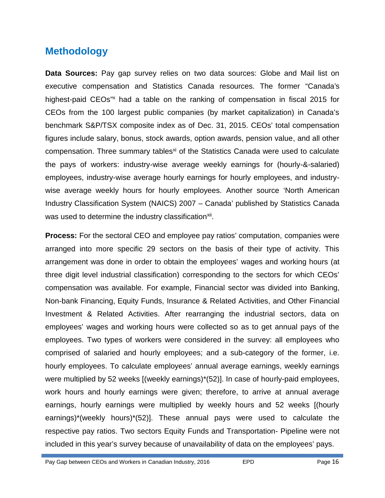## **Methodology**

**Data Sources:** Pay gap survey relies on two data sources: Globe and Mail list on executive compensation and Statistics Canada resources. The former "Canada's highest-paid CEOs<sup>"x</sup> had a table on the ranking of compensation in fiscal 2015 for CEOs from the 100 largest public companies (by market capitalization) in Canada's benchmark S&P/TSX composite index as of Dec. 31, 2015. CEOs' total compensation figures include salary, bonus, stock awards, option awards, pension value, and all other compensation. Three summary tables<sup>xi</sup> of the Statistics Canada were used to calculate the pays of workers: industry-wise average weekly earnings for (hourly-&-salaried) employees, industry-wise average hourly earnings for hourly employees, and industry wise average weekly hours for hourly employees. Another source 'North American Industry Classification System (NAICS) 2007 – Canada' published by Statistics Canada was used to determine the industry classification<sup>xii</sup>.

**Process:** For the sectoral CEO and employee pay ratios' computation, companies were arranged into more specific 29 sectors on the basis of their type of activity. This arrangement was done in order to obtain the employees' wages and working hours (at three digit level industrial classification) corresponding to the sectors for which CEOs' compensation was available. For example, Financial sector was divided into Banking, Non-bank Financing, Equity Funds, Insurance & Related Activities, and Other Financial Investment & Related Activities. After rearranging the industrial sectors, data on employees' wages and working hours were collected so as to get annual pays of the employees. Two types of workers were considered in the survey: all employees who comprised of salaried and hourly employees; and a sub-category of the former, i.e. hourly employees. To calculate employees' annual average earnings, weekly earnings were multiplied by 52 weeks [(weekly earnings)\*(52)]. In case of hourly-paid employees, work hours and hourly earnings were given; therefore, to arrive at annual average earnings, hourly earnings were multiplied by weekly hours and 52 weeks [(hourly earnings)\*(weekly hours)\*(52)]. These annual pays were used to calculate the respective pay ratios. Two sectors Equity Funds and Transportation- Pipeline were not included in this year's survey because of unavailability of data on the employees' pays.